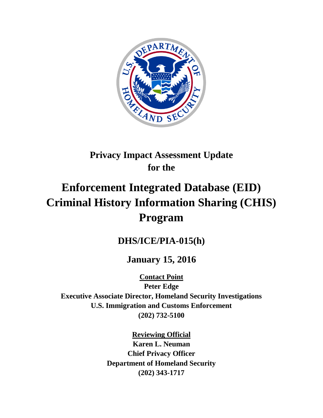

# **Privacy Impact Assessment Update for the**

# **Enforcement Integrated Database (EID) Criminal History Information Sharing (CHIS) Program**

# **DHS/ICE/PIA-015(h)**

# **January 15, 2016**

**Contact Point**

**Peter Edge Executive Associate Director, Homeland Security Investigations U.S. Immigration and Customs Enforcement (202) 732-5100**

> **Reviewing Official Karen L. Neuman Chief Privacy Officer Department of Homeland Security (202) 343-1717**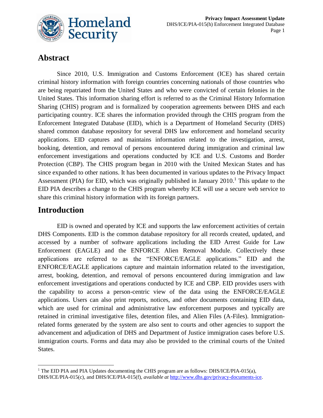

# **Abstract**

Since 2010, U.S. Immigration and Customs Enforcement (ICE) has shared certain criminal history information with foreign countries concerning nationals of those countries who are being repatriated from the United States and who were convicted of certain felonies in the United States. This information sharing effort is referred to as the Criminal History Information Sharing (CHIS) program and is formalized by cooperation agreements between DHS and each participating country. ICE shares the information provided through the CHIS program from the Enforcement Integrated Database (EID), which is a Department of Homeland Security (DHS) shared common database repository for several DHS law enforcement and homeland security applications. EID captures and maintains information related to the investigation, arrest, booking, detention, and removal of persons encountered during immigration and criminal law enforcement investigations and operations conducted by ICE and U.S. Customs and Border Protection (CBP). The CHIS program began in 2010 with the United Mexican States and has since expanded to other nations. It has been documented in various updates to the Privacy Impact Assessment (PIA) for EID, which was originally published in January 2010.<sup>1</sup> This update to the EID PIA describes a change to the CHIS program whereby ICE will use a secure web service to share this criminal history information with its foreign partners.

### **Introduction**

EID is owned and operated by ICE and supports the law enforcement activities of certain DHS Components. EID is the common database repository for all records created, updated, and accessed by a number of software applications including the EID Arrest Guide for Law Enforcement (EAGLE) and the ENFORCE Alien Removal Module. Collectively these applications are referred to as the "ENFORCE/EAGLE applications." EID and the ENFORCE/EAGLE applications capture and maintain information related to the investigation, arrest, booking, detention, and removal of persons encountered during immigration and law enforcement investigations and operations conducted by ICE and CBP. EID provides users with the capability to access a person-centric view of the data using the ENFORCE/EAGLE applications. Users can also print reports, notices, and other documents containing EID data, which are used for criminal and administrative law enforcement purposes and typically are retained in criminal investigative files, detention files, and Alien Files (A-Files). Immigrationrelated forms generated by the system are also sent to courts and other agencies to support the advancement and adjudication of DHS and Department of Justice immigration cases before U.S. immigration courts. Forms and data may also be provided to the criminal courts of the United States.

<sup>1</sup> <sup>1</sup> The EID PIA and PIA Updates documenting the CHIS program are as follows: DHS/ICE/PIA-015(a), DHS/ICE/PIA-015(c), and DHS/ICE/PIA-015(f), *available at* [http://www.dhs.gov/privacy-documents-ice.](http://www.dhs.gov/privacy-documents-ice)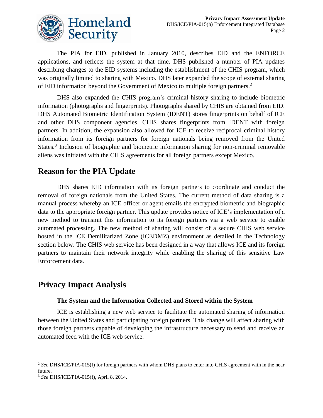

The PIA for EID, published in January 2010, describes EID and the ENFORCE applications, and reflects the system at that time. DHS published a number of PIA updates describing changes to the EID systems including the establishment of the CHIS program, which was originally limited to sharing with Mexico. DHS later expanded the scope of external sharing of EID information beyond the Government of Mexico to multiple foreign partners. 2

DHS also expanded the CHIS program's criminal history sharing to include biometric information (photographs and fingerprints). Photographs shared by CHIS are obtained from EID. DHS Automated Biometric Identification System (IDENT) stores fingerprints on behalf of ICE and other DHS component agencies. CHIS shares fingerprints from IDENT with foreign partners. In addition, the expansion also allowed for ICE to receive reciprocal criminal history information from its foreign partners for foreign nationals being removed from the United States.<sup>3</sup> Inclusion of biographic and biometric information sharing for non-criminal removable aliens was initiated with the CHIS agreements for all foreign partners except Mexico.

# **Reason for the PIA Update**

DHS shares EID information with its foreign partners to coordinate and conduct the removal of foreign nationals from the United States. The current method of data sharing is a manual process whereby an ICE officer or agent emails the encrypted biometric and biographic data to the appropriate foreign partner. This update provides notice of ICE's implementation of a new method to transmit this information to its foreign partners via a web service to enable automated processing. The new method of sharing will consist of a secure CHIS web service hosted in the ICE Demilitarized Zone (ICEDMZ) environment as detailed in the Technology section below. The CHIS web service has been designed in a way that allows ICE and its foreign partners to maintain their network integrity while enabling the sharing of this sensitive Law Enforcement data.

# **Privacy Impact Analysis**

#### **The System and the Information Collected and Stored within the System**

ICE is establishing a new web service to facilitate the automated sharing of information between the United States and participating foreign partners. This change will affect sharing with those foreign partners capable of developing the infrastructure necessary to send and receive an automated feed with the ICE web service.

 $\overline{a}$ <sup>2</sup> *See* DHS/ICE/PIA-015(f) for foreign partners with whom DHS plans to enter into CHIS agreement with in the near future.

<sup>3</sup> *See* DHS/ICE/PIA-015(f), April 8, 2014.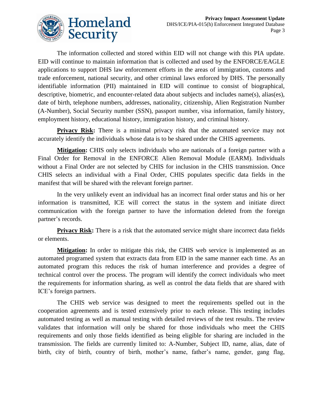

The information collected and stored within EID will not change with this PIA update. EID will continue to maintain information that is collected and used by the ENFORCE/EAGLE applications to support DHS law enforcement efforts in the areas of immigration, customs and trade enforcement, national security, and other criminal laws enforced by DHS. The personally identifiable information (PII) maintained in EID will continue to consist of biographical, descriptive, biometric, and encounter-related data about subjects and includes name(s), alias(es), date of birth, telephone numbers, addresses, nationality, citizenship, Alien Registration Number (A-Number), Social Security number (SSN), passport number, visa information, family history, employment history, educational history, immigration history, and criminal history.

**Privacy Risk:** There is a minimal privacy risk that the automated service may not accurately identify the individuals whose data is to be shared under the CHIS agreements.

**Mitigation:** CHIS only selects individuals who are nationals of a foreign partner with a Final Order for Removal in the ENFORCE Alien Removal Module (EARM). Individuals without a Final Order are not selected by CHIS for inclusion in the CHIS transmission. Once CHIS selects an individual with a Final Order, CHIS populates specific data fields in the manifest that will be shared with the relevant foreign partner.

In the very unlikely event an individual has an incorrect final order status and his or her information is transmitted, ICE will correct the status in the system and initiate direct communication with the foreign partner to have the information deleted from the foreign partner's records.

**Privacy Risk:** There is a risk that the automated service might share incorrect data fields or elements.

**Mitigation:** In order to mitigate this risk, the CHIS web service is implemented as an automated programed system that extracts data from EID in the same manner each time. As an automated program this reduces the risk of human interference and provides a degree of technical control over the process. The program will identify the correct individuals who meet the requirements for information sharing, as well as control the data fields that are shared with ICE's foreign partners.

The CHIS web service was designed to meet the requirements spelled out in the cooperation agreements and is tested extensively prior to each release. This testing includes automated testing as well as manual testing with detailed reviews of the test results. The review validates that information will only be shared for those individuals who meet the CHIS requirements and only those fields identified as being eligible for sharing are included in the transmission. The fields are currently limited to: A-Number, Subject ID, name, alias, date of birth, city of birth, country of birth, mother's name, father's name, gender, gang flag,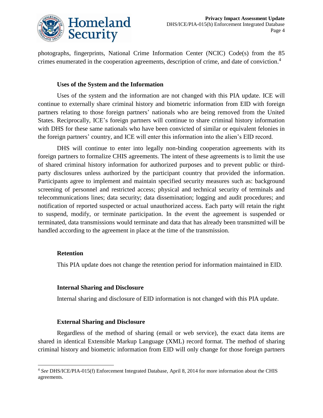

photographs, fingerprints, National Crime Information Center (NCIC) Code(s) from the 85 crimes enumerated in the cooperation agreements, description of crime, and date of conviction.<sup>4</sup>

#### **Uses of the System and the Information**

Uses of the system and the information are not changed with this PIA update. ICE will continue to externally share criminal history and biometric information from EID with foreign partners relating to those foreign partners' nationals who are being removed from the United States. Reciprocally, ICE's foreign partners will continue to share criminal history information with DHS for these same nationals who have been convicted of similar or equivalent felonies in the foreign partners' country, and ICE will enter this information into the alien's EID record.

DHS will continue to enter into legally non-binding cooperation agreements with its foreign partners to formalize CHIS agreements. The intent of these agreements is to limit the use of shared criminal history information for authorized purposes and to prevent public or thirdparty disclosures unless authorized by the participant country that provided the information. Participants agree to implement and maintain specified security measures such as: background screening of personnel and restricted access; physical and technical security of terminals and telecommunications lines; data security; data dissemination; logging and audit procedures; and notification of reported suspected or actual unauthorized access. Each party will retain the right to suspend, modify, or terminate participation. In the event the agreement is suspended or terminated, data transmissions would terminate and data that has already been transmitted will be handled according to the agreement in place at the time of the transmission.

#### **Retention**

This PIA update does not change the retention period for information maintained in EID.

#### **Internal Sharing and Disclosure**

Internal sharing and disclosure of EID information is not changed with this PIA update.

#### **External Sharing and Disclosure**

Regardless of the method of sharing (email or web service), the exact data items are shared in identical Extensible Markup Language (XML) record format. The method of sharing criminal history and biometric information from EID will only change for those foreign partners

<sup>1</sup> <sup>4</sup> *See* DHS/ICE/PIA-015(f) Enforcement Integrated Database, April 8, 2014 for more information about the CHIS agreements.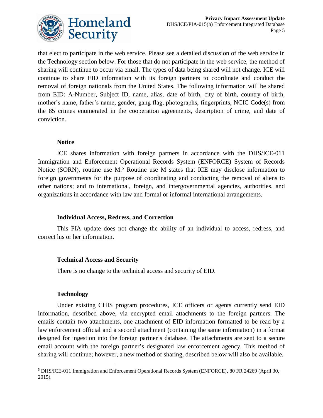

that elect to participate in the web service. Please see a detailed discussion of the web service in the Technology section below. For those that do not participate in the web service, the method of sharing will continue to occur via email. The types of data being shared will not change. ICE will continue to share EID information with its foreign partners to coordinate and conduct the removal of foreign nationals from the United States. The following information will be shared from EID: A-Number, Subject ID, name, alias, date of birth, city of birth, country of birth, mother's name, father's name, gender, gang flag, photographs, fingerprints, NCIC Code(s) from the 85 crimes enumerated in the cooperation agreements, description of crime, and date of conviction.

#### **Notice**

ICE shares information with foreign partners in accordance with the DHS/ICE-011 Immigration and Enforcement Operational Records System (ENFORCE) System of Records Notice (SORN), routine use M.<sup>5</sup> Routine use M states that ICE may disclose information to foreign governments for the purpose of coordinating and conducting the removal of aliens to other nations; and to international, foreign, and intergovernmental agencies, authorities, and organizations in accordance with law and formal or informal international arrangements.

#### **Individual Access, Redress, and Correction**

This PIA update does not change the ability of an individual to access, redress, and correct his or her information.

#### **Technical Access and Security**

There is no change to the technical access and security of EID.

#### **Technology**

Under existing CHIS program procedures, ICE officers or agents currently send EID information, described above, via encrypted email attachments to the foreign partners. The emails contain two attachments, one attachment of EID information formatted to be read by a law enforcement official and a second attachment (containing the same information) in a format designed for ingestion into the foreign partner's database. The attachments are sent to a secure email account with the foreign partner's designated law enforcement agency. This method of sharing will continue; however, a new method of sharing, described below will also be available.

<sup>1</sup> <sup>5</sup> DHS/ICE-011 Immigration and Enforcement Operational Records System (ENFORCE), 80 FR 24269 (April 30, 2015).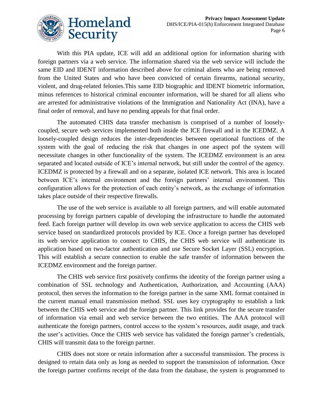

With this PIA update, ICE will add an additional option for information sharing with foreign partners via a web service. The information shared via the web service will include the same EID and IDENT information described above for criminal aliens who are being removed from the United States and who have been convicted of certain firearms, national security, violent, and drug-related felonies.This same EID biographic and IDENT biometric information, minus references to historical criminal encounter information, will be shared for all aliens who are arrested for administrative violations of the Immigration and Nationality Act (INA), have a final order of removal, and have no pending appeals for that final order.

The automated CHIS data transfer mechanism is comprised of a number of looselycoupled, secure web services implemented both inside the ICE firewall and in the ICEDMZ. A loosely-coupled design reduces the inter-dependencies between operational functions of the system with the goal of reducing the risk that changes in one aspect pof the system will necessitate changes in other functionality of the system. The ICEDMZ environment is an area separated and located outside of ICE's internal network, but still under the control of the agency. ICEDMZ is protected by a firewall and on a separate, isolated ICE network. This area is located between ICE's internal environment and the foreign partners' internal environment. This configuration allows for the protection of each entity's network, as the exchange of information takes place outside of their respective firewalls.

The use of the web service is available to all foreign partners, and will enable automated processing by foreign partners capable of developing the infrastructure to handle the automated feed. Each foreign partner will develop its own web service application to access the CHIS web service based on standardized protocols provided by ICE. Once a foreign partner has developed its web service application to connect to CHIS, the CHIS web service will authenticate its application based on two-factor authentication and use Secure Socket Layer (SSL) encryption. This will establish a secure connection to enable the safe transfer of information between the ICEDMZ environment and the foreign partner.

The CHIS web service first positively confirms the identity of the foreign partner using a combination of SSL technology and Authentication, Authorization, and Accounting (AAA) protocol, then serves the information to the foreign partner in the same XML format contained in the current manual email transmission method. SSL uses key cryptography to establish a link between the CHIS web service and the foreign partner. This link provides for the secure transfer of information via email and web service between the two entities. The AAA protocol will authenticate the foreign partners, control access to the system's resources, audit usage, and track the user's activities. Once the CHIS web service has validated the foreign partner's credentials, CHIS will transmit data to the foreign partner.

CHIS does not store or retain information after a successful transmission. The process is designed to retain data only as long as needed to support the transmission of information. Once the foreign partner confirms receipt of the data from the database, the system is programmed to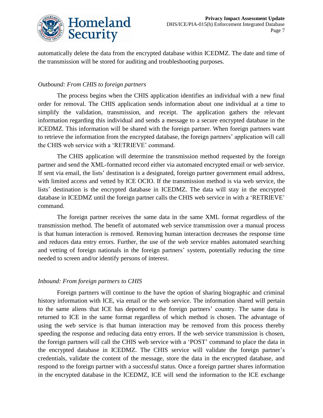

automatically delete the data from the encrypted database within ICEDMZ. The date and time of the transmission will be stored for auditing and troubleshooting purposes.

#### *Outbound: From CHIS to foreign partners*

The process begins when the CHIS application identifies an individual with a new final order for removal. The CHIS application sends information about one individual at a time to simplify the validation, transmission, and receipt. The application gathers the relevant information regarding this individual and sends a message to a secure encrypted database in the ICEDMZ. This information will be shared with the foreign partner. When foreign partners want to retrieve the information from the encrypted database, the foreign partners' application will call the CHIS web service with a 'RETRIEVE' command.

The CHIS application will determine the transmission method requested by the foreign partner and send the XML-formatted record either via automated encrypted email or web service. If sent via email, the lists' destination is a designated, foreign partner government email address, with limited access and vetted by ICE OCIO. If the transmission method is via web service, the lists' destination is the encrypted database in ICEDMZ. The data will stay in the encrypted database in ICEDMZ until the foreign partner calls the CHIS web service in with a 'RETRIEVE' command.

The foreign partner receives the same data in the same XML format regardless of the transmission method. The benefit of automated web service transmission over a manual process is that human interaction is removed. Removing human interaction decreases the response time and reduces data entry errors. Further, the use of the web service enables automated searching and vetting of foreign nationals in the foreign partners' system, potentially reducing the time needed to screen and/or identify persons of interest.

#### *Inbound: From foreign partners to CHIS*

Foreign partners will continue to the have the option of sharing biographic and criminal history information with ICE, via email or the web service. The information shared will pertain to the same aliens that ICE has deported to the foreign partners' country. The same data is returned to ICE in the same format regardless of which method is chosen. The advantage of using the web service is that human interaction may be removed from this process thereby speeding the response and reducing data entry errors. If the web service transmission is chosen, the foreign partners will call the CHIS web service with a 'POST' command to place the data in the encrypted database in ICEDMZ. The CHIS service will validate the foreign partner's credentials, validate the content of the message, store the data in the encrypted database, and respond to the foreign partner with a successful status. Once a foreign partner shares information in the encrypted database in the ICEDMZ, ICE will send the information to the ICE exchange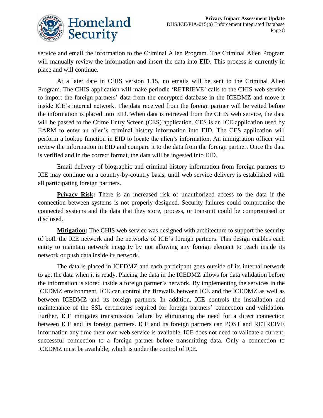

service and email the information to the Criminal Alien Program. The Criminal Alien Program will manually review the information and insert the data into EID. This process is currently in place and will continue.

At a later date in CHIS version 1.15, no emails will be sent to the Criminal Alien Program. The CHIS application will make periodic 'RETRIEVE' calls to the CHIS web service to import the foreign partners' data from the encrypted database in the ICEDMZ and move it inside ICE's internal network. The data received from the foreign partner will be vetted before the information is placed into EID. When data is retrieved from the CHIS web service, the data will be passed to the Crime Entry Screen (CES) application. CES is an ICE application used by EARM to enter an alien's criminal history information into EID. The CES application will perform a lookup function in EID to locate the alien's information. An immigration officer will review the information in EID and compare it to the data from the foreign partner. Once the data is verified and in the correct format, the data will be ingested into EID.

Email delivery of biographic and criminal history information from foreign partners to ICE may continue on a country-by-country basis, until web service delivery is established with all participating foreign partners.

**Privacy Risk:** There is an increased risk of unauthorized access to the data if the connection between systems is not properly designed. Security failures could compromise the connected systems and the data that they store, process, or transmit could be compromised or disclosed.

**Mitigation:** The CHIS web service was designed with architecture to support the security of both the ICE network and the networks of ICE's foreign partners. This design enables each entity to maintain network integrity by not allowing any foreign element to reach inside its network or push data inside its network.

The data is placed in ICEDMZ and each participant goes outside of its internal network to get the data when it is ready. Placing the data in the ICEDMZ allows for data validation before the information is stored inside a foreign partner's network. By implementing the services in the ICEDMZ environment, ICE can control the firewalls between ICE and the ICEDMZ as well as between ICEDMZ and its foreign partners. In addition, ICE controls the installation and maintenance of the SSL certificates required for foreign partners' connection and validation. Further, ICE mitigates transmission failure by eliminating the need for a direct connection between ICE and its foreign partners. ICE and its foreign partners can POST and RETREIVE information any time their own web service is available. ICE does not need to validate a current, successful connection to a foreign partner before transmitting data. Only a connection to ICEDMZ must be available, which is under the control of ICE.